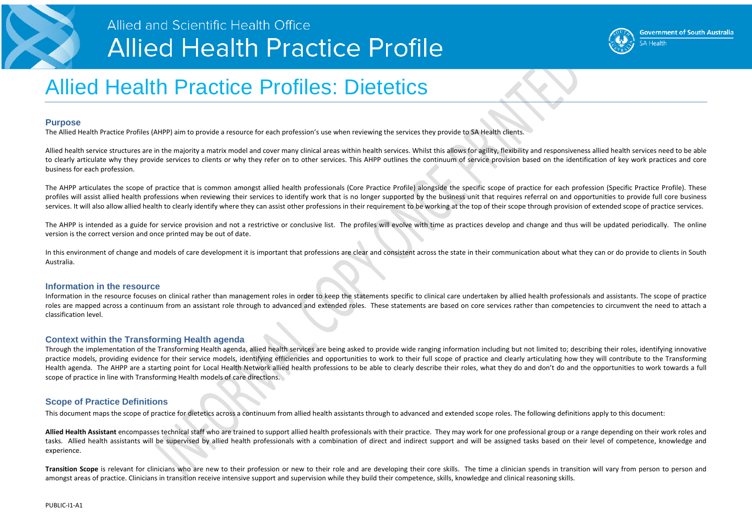

### Allied and Scientific Health Office **Allied Health Practice Profile**

## Allied Health Practice Profiles: Dietetics

#### **Purpose**

The Allied Health Practice Profiles (AHPP) aim to provide a resource for each profession's use when reviewing the services they provide to SA Health clients.

Allied health service structures are in the majority a matrix model and cover many clinical areas within health services. Whilst this allows for agility, flexibility and responsiveness allied health services need to be able to clearly articulate why they provide services to clients or why they refer on to other services. This AHPP outlines the continuum of service provision based on the identification of key work practices and core business for each profession.

The AHPP articulates the scope of practice that is common amongst allied health professionals (Core Practice Profile) alongside the specific scope of practice for each profession (Specific Practice Profile). These profiles will assist allied health professions when reviewing their services to identify work that is no longer supported by the business unit that requires referral on and opportunities to provide full core business services. It will also allow allied health to clearly identify where they can assist other professions in their requirement to be working at the top of their scope through provision of extended scope of practice services.

The AHPP is intended as a guide for service provision and not a restrictive or conclusive list. The profiles will evolve with time as practices develop and change and thus will be updated periodically. The online version is the correct version and once printed may be out of date.

In this environment of change and models of care development it is important that professions are clear and consistent across the state in their communication about what they can or do provide to clients in South Australia.

#### **Information in the resource**

Transition Scope is relevant for clinicians who are new to their profession or new to their role and are developing their core skills. The time a clinician spends in transition will vary from person to person and amongst areas of practice. Clinicians in transition receive intensive support and supervision while they build their competence, skills, knowledge and clinical reasoning skills.

Information in the resource focuses on clinical rather than management roles in order to keep the statements specific to clinical care undertaken by allied health professionals and assistants. The scope of practice roles are mapped across a continuum from an assistant role through to advanced and extended roles. These statements are based on core services rather than competencies to circumvent the need to attach a classification level.

### **Context within the Transforming Health agenda**

Through the implementation of the Transforming Health agenda, allied health services are being asked to provide wide ranging information including but not limited to; describing their roles, identifying innovative practice models, providing evidence for their service models, identifying efficiencies and opportunities to work to their full scope of practice and clearly articulating how they will contribute to the Transforming Health agenda. The AHPP are a starting point for Local Health Network allied health professions to be able to clearly describe their roles, what they do and don't do and the opportunities to work towards a full scope of practice in line with Transforming Health models of care directions.

### **Scope of Practice Definitions**

This document maps the scope of practice for dietetics across a continuum from allied health assistants through to advanced and extended scope roles. The following definitions apply to this document:

**Allied Health Assistant** encompasses technical staff who are trained to support allied health professionals with their practice. They may work for one professional group or a range depending on their work roles and tasks. Allied health assistants will be supervised by allied health professionals with a combination of direct and indirect support and will be assigned tasks based on their level of competence, knowledge and experience.



5∆ Health

**Government of South Australia**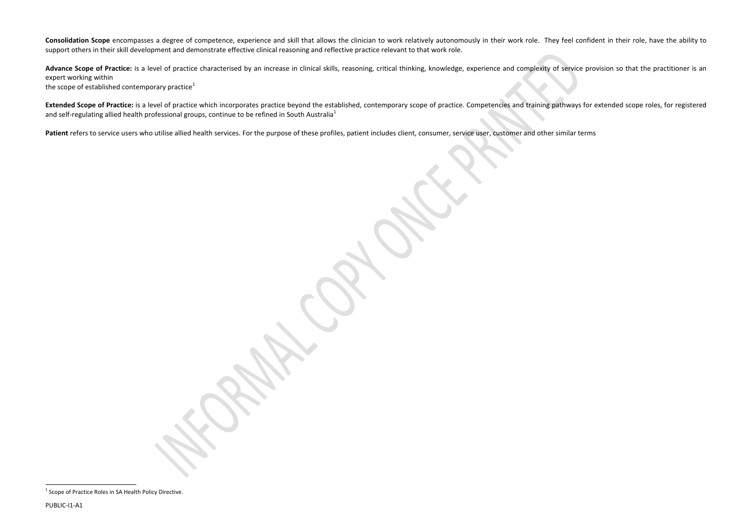<span id="page-1-0"></span>Consolidation Scope encompasses a degree of competence, experience and skill that allows the clinician to work relatively autonomously in their work role. They feel confident in their role, have the ability to support others in their skill development and demonstrate effective clinical reasoning and reflective practice relevant to that work role.

Advance Scope of Practice: is a level of practice characterised by an increase in clinical skills, reasoning, critical thinking, knowledge, experience and complexity of service provision so that the practitioner is an expert working within the scope of established contemporary practice<sup>[1](#page-1-0)</sup>

Extended Scope of Practice: is a level of practice which incorporates practice beyond the established, contemporary scope of practice. Competencies and training pathways for extended scope roles, for registered and self-regulating allied health professional groups, continue to be refined in South Australia<sup>1</sup>

Patient refers to service users who utilise allied health services. For the purpose of these profiles, patient includes client, consumer, service user, customer and other similar terms

l

 $1$  Scope of Practice Roles in SA Health Policy Directive.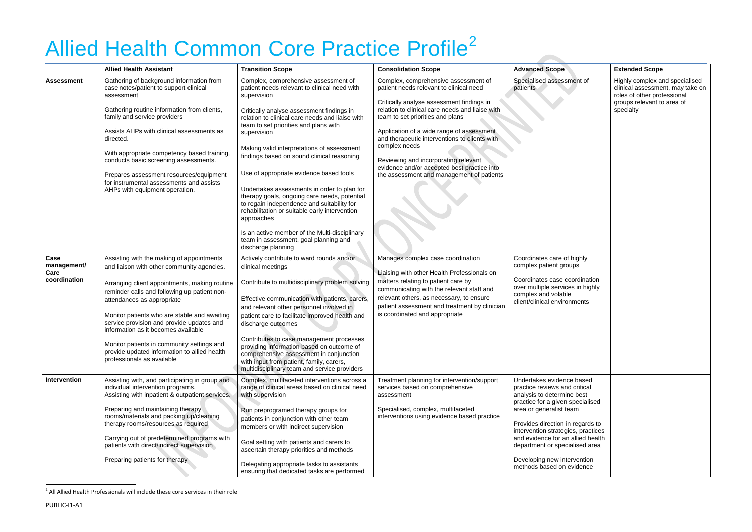# Allied Health Common Core Practice Profile<sup>[2](#page-2-0)</sup>

|                                             | <b>Allied Health Assistant</b>                                                                                                                                                                                                                                                                                                                                                                                                                                                         | <b>Transition Scope</b>                                                                                                                                                                                                                                                                                                                                                                                                                                                                                                                                                                                                                                                                                                        | <b>Consolidation Scope</b>                                                                                                                                                                                                                                                                                                                                                                                                                                             | <b>Advanced Scope</b>                                                                                                                                                                                                                                                                                                                                                | <b>Extended Scope</b>                                                                                                                        |
|---------------------------------------------|----------------------------------------------------------------------------------------------------------------------------------------------------------------------------------------------------------------------------------------------------------------------------------------------------------------------------------------------------------------------------------------------------------------------------------------------------------------------------------------|--------------------------------------------------------------------------------------------------------------------------------------------------------------------------------------------------------------------------------------------------------------------------------------------------------------------------------------------------------------------------------------------------------------------------------------------------------------------------------------------------------------------------------------------------------------------------------------------------------------------------------------------------------------------------------------------------------------------------------|------------------------------------------------------------------------------------------------------------------------------------------------------------------------------------------------------------------------------------------------------------------------------------------------------------------------------------------------------------------------------------------------------------------------------------------------------------------------|----------------------------------------------------------------------------------------------------------------------------------------------------------------------------------------------------------------------------------------------------------------------------------------------------------------------------------------------------------------------|----------------------------------------------------------------------------------------------------------------------------------------------|
| <b>Assessment</b>                           | Gathering of background information from<br>case notes/patient to support clinical<br>assessment<br>Gathering routine information from clients,<br>family and service providers<br>Assists AHPs with clinical assessments as<br>directed.<br>With appropriate competency based training,<br>conducts basic screening assessments.<br>Prepares assessment resources/equipment<br>for instrumental assessments and assists<br>AHPs with equipment operation.                             | Complex, comprehensive assessment of<br>patient needs relevant to clinical need with<br>supervision<br>Critically analyse assessment findings in<br>relation to clinical care needs and liaise with<br>team to set priorities and plans with<br>supervision<br>Making valid interpretations of assessment<br>findings based on sound clinical reasoning<br>Use of appropriate evidence based tools<br>Undertakes assessments in order to plan for<br>therapy goals, ongoing care needs, potential<br>to regain independence and suitability for<br>rehabilitation or suitable early intervention<br>approaches<br>Is an active member of the Multi-disciplinary<br>team in assessment, goal planning and<br>discharge planning | Complex, comprehensive assessment of<br>patient needs relevant to clinical need<br>Critically analyse assessment findings in<br>relation to clinical care needs and liaise with<br>team to set priorities and plans<br>Application of a wide range of assessment<br>and therapeutic interventions to clients with<br>complex needs<br>Reviewing and incorporating relevant<br>evidence and/or accepted best practice into<br>the assessment and management of patients | Specialised assessment of<br>patients                                                                                                                                                                                                                                                                                                                                | Highly complex and specialised<br>clinical assessment, may take on<br>roles of other professional<br>groups relevant to area of<br>specialty |
| Case<br>management/<br>Care<br>coordination | Assisting with the making of appointments<br>and liaison with other community agencies.<br>Arranging client appointments, making routine<br>reminder calls and following up patient non-<br>attendances as appropriate<br>Monitor patients who are stable and awaiting<br>service provision and provide updates and<br>information as it becomes available<br>Monitor patients in community settings and<br>provide updated information to allied health<br>professionals as available | Actively contribute to ward rounds and/or<br>clinical meetings<br>Contribute to multidisciplinary problem solving<br>Effective communication with patients, carers,<br>and relevant other personnel involved in<br>patient care to facilitate improved health and<br>discharge outcomes<br>Contributes to case management processes<br>providing information based on outcome of<br>comprehensive assessment in conjunction<br>with input from patient, family, carers,<br>multidisciplinary team and service providers                                                                                                                                                                                                        | Manages complex case coordination<br>Liaising with other Health Professionals on<br>matters relating to patient care by<br>communicating with the relevant staff and<br>relevant others, as necessary, to ensure<br>patient assessment and treatment by clinician<br>is coordinated and appropriate                                                                                                                                                                    | Coordinates care of highly<br>complex patient groups<br>Coordinates case coordination<br>over multiple services in highly<br>complex and volatile<br>client/clinical environments                                                                                                                                                                                    |                                                                                                                                              |
| Intervention                                | Assisting with, and participating in group and<br>individual intervention programs.<br>Assisting with inpatient & outpatient services.<br>Preparing and maintaining therapy<br>rooms/materials and packing up/cleaning<br>therapy rooms/resources as required<br>Carrying out of predetermined programs with<br>patients with direct/indirect supervision<br>Preparing patients for therapy                                                                                            | Complex, multifaceted interventions across a<br>range of clinical areas based on clinical need<br>with supervision<br>Run preprogramed therapy groups for<br>patients in conjunction with other team<br>members or with indirect supervision<br>Goal setting with patients and carers to<br>ascertain therapy priorities and methods<br>Delegating appropriate tasks to assistants<br>ensuring that dedicated tasks are performed                                                                                                                                                                                                                                                                                              | Treatment planning for intervention/support<br>services based on comprehensive<br>assessment<br>Specialised, complex, multifaceted<br>interventions using evidence based practice                                                                                                                                                                                                                                                                                      | Undertakes evidence based<br>practice reviews and critical<br>analysis to determine best<br>practice for a given specialised<br>area or generalist team<br>Provides direction in regards to<br>intervention strategies, practices<br>and evidence for an allied health<br>department or specialised area<br>Developing new intervention<br>methods based on evidence |                                                                                                                                              |

<span id="page-2-0"></span>**START START** 

l

 $^2$  All Allied Health Professionals will include these core services in their role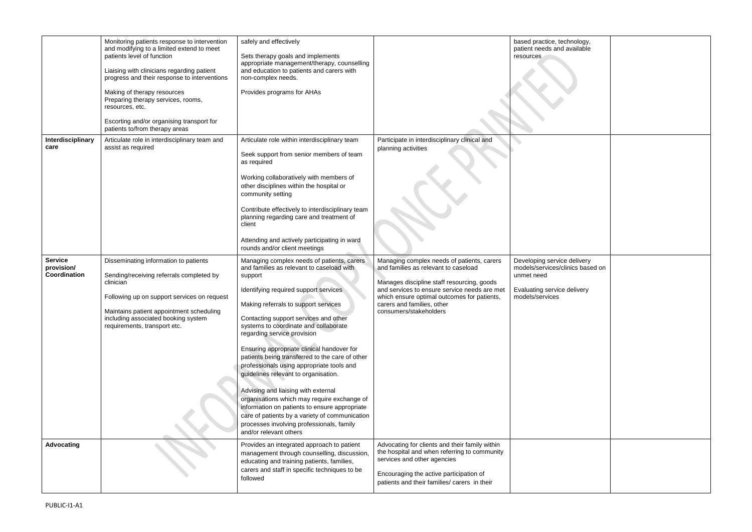|                                              | Monitoring patients response to intervention<br>and modifying to a limited extend to meet<br>patients level of function<br>Liaising with clinicians regarding patient<br>progress and their response to interventions<br>Making of therapy resources<br>Preparing therapy services, rooms,<br>resources, etc.<br>Escorting and/or organising transport for<br>patients to/from therapy areas | safely and effectively<br>Sets therapy goals and implements<br>appropriate management/therapy, counselling<br>and education to patients and carers with<br>non-complex needs.<br>Provides programs for AHAs                                                                                                                                                                                                                                                                                                                                                                                                                                                                                                                                                |                                                                                                                                                                                                                                                                                         | based practice, technology,<br>patient needs and available<br>resources                                                         |
|----------------------------------------------|----------------------------------------------------------------------------------------------------------------------------------------------------------------------------------------------------------------------------------------------------------------------------------------------------------------------------------------------------------------------------------------------|------------------------------------------------------------------------------------------------------------------------------------------------------------------------------------------------------------------------------------------------------------------------------------------------------------------------------------------------------------------------------------------------------------------------------------------------------------------------------------------------------------------------------------------------------------------------------------------------------------------------------------------------------------------------------------------------------------------------------------------------------------|-----------------------------------------------------------------------------------------------------------------------------------------------------------------------------------------------------------------------------------------------------------------------------------------|---------------------------------------------------------------------------------------------------------------------------------|
| Interdisciplinary<br>care                    | Articulate role in interdisciplinary team and<br>assist as required                                                                                                                                                                                                                                                                                                                          | Articulate role within interdisciplinary team<br>Seek support from senior members of team<br>as required<br>Working collaboratively with members of<br>other disciplines within the hospital or<br>community setting<br>Contribute effectively to interdisciplinary team<br>planning regarding care and treatment of<br>client<br>Attending and actively participating in ward<br>rounds and/or client meetings                                                                                                                                                                                                                                                                                                                                            | Participate in interdisciplinary clinical and<br>planning activities                                                                                                                                                                                                                    |                                                                                                                                 |
| <b>Service</b><br>provision/<br>Coordination | Disseminating information to patients<br>Sending/receiving referrals completed by<br>clinician<br>Following up on support services on request<br>Maintains patient appointment scheduling<br>including associated booking system<br>requirements, transport etc.                                                                                                                             | Managing complex needs of patients, carers<br>and families as relevant to caseload with<br>support<br>Identifying required support services<br>Making referrals to support services<br>Contacting support services and other<br>systems to coordinate and collaborate<br>regarding service provision<br>Ensuring appropriate clinical handover for<br>patients being transferred to the care of other<br>professionals using appropriate tools and<br>guidelines relevant to organisation.<br>Advising and liaising with external<br>organisations which may require exchange of<br>information on patients to ensure appropriate<br>care of patients by a variety of communication<br>processes involving professionals, family<br>and/or relevant others | Managing complex needs of patients, carers<br>and families as relevant to caseload<br>Manages discipline staff resourcing, goods<br>and services to ensure service needs are met<br>which ensure optimal outcomes for patients,<br>carers and families, other<br>consumers/stakeholders | Developing service delivery<br>models/services/clinics based on<br>unmet need<br>Evaluating service delivery<br>models/services |
| <b>Advocating</b>                            |                                                                                                                                                                                                                                                                                                                                                                                              | Provides an integrated approach to patient<br>management through counselling, discussion,<br>educating and training patients, families,<br>carers and staff in specific techniques to be<br>followed                                                                                                                                                                                                                                                                                                                                                                                                                                                                                                                                                       | Advocating for clients and their family within<br>the hospital and when referring to community<br>services and other agencies<br>Encouraging the active participation of<br>patients and their families/ carers in their                                                                |                                                                                                                                 |

| echnology,<br>d available       |  |
|---------------------------------|--|
| $\overline{\phantom{a}}$        |  |
|                                 |  |
|                                 |  |
|                                 |  |
|                                 |  |
|                                 |  |
|                                 |  |
|                                 |  |
| ce delivery<br>clinics based on |  |
| e delivery                      |  |
|                                 |  |
|                                 |  |
|                                 |  |
|                                 |  |
|                                 |  |
|                                 |  |
|                                 |  |
|                                 |  |
|                                 |  |
|                                 |  |
|                                 |  |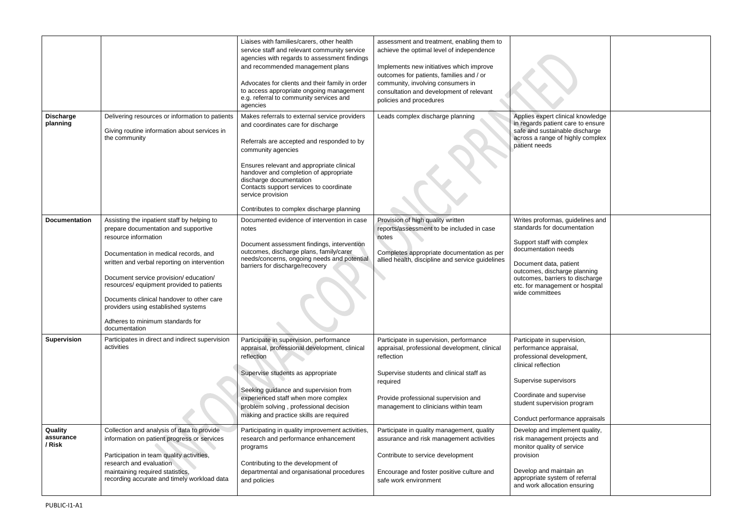|                                |                                                                                                                                                                                                                                                                                                                                                                                                                                     | Liaises with families/carers, other health<br>service staff and relevant community service<br>agencies with regards to assessment findings<br>and recommended management plans<br>Advocates for clients and their family in order<br>to access appropriate ongoing management<br>e.g. referral to community services and<br>agencies                                                   | assessment and treatment, enabling them to<br>achieve the optimal level of independence<br>Implements new initiatives which improve<br>outcomes for patients, families and / or<br>community, involving consumers in<br>consultation and development of relevant<br>policies and procedures |                                                                                                                                                                                                                                                                         |
|--------------------------------|-------------------------------------------------------------------------------------------------------------------------------------------------------------------------------------------------------------------------------------------------------------------------------------------------------------------------------------------------------------------------------------------------------------------------------------|----------------------------------------------------------------------------------------------------------------------------------------------------------------------------------------------------------------------------------------------------------------------------------------------------------------------------------------------------------------------------------------|---------------------------------------------------------------------------------------------------------------------------------------------------------------------------------------------------------------------------------------------------------------------------------------------|-------------------------------------------------------------------------------------------------------------------------------------------------------------------------------------------------------------------------------------------------------------------------|
| <b>Discharge</b><br>planning   | Delivering resources or information to patients<br>Giving routine information about services in<br>the community                                                                                                                                                                                                                                                                                                                    | Makes referrals to external service providers<br>and coordinates care for discharge<br>Referrals are accepted and responded to by<br>community agencies<br>Ensures relevant and appropriate clinical<br>handover and completion of appropriate<br>discharge documentation<br>Contacts support services to coordinate<br>service provision<br>Contributes to complex discharge planning | Leads complex discharge planning                                                                                                                                                                                                                                                            | Applies expert clinical knowledge<br>in regards patient care to ensure<br>safe and sustainable discharge<br>across a range of highly complex<br>patient needs                                                                                                           |
| <b>Documentation</b>           | Assisting the inpatient staff by helping to<br>prepare documentation and supportive<br>resource information<br>Documentation in medical records, and<br>written and verbal reporting on intervention<br>Document service provision/education/<br>resources/ equipment provided to patients<br>Documents clinical handover to other care<br>providers using established systems<br>Adheres to minimum standards for<br>documentation | Documented evidence of intervention in case<br>notes<br>Document assessment findings, intervention<br>outcomes, discharge plans, family/carer<br>needs/concerns, ongoing needs and potential<br>barriers for discharge/recovery                                                                                                                                                        | Provision of high quality written<br>reports/assessment to be included in case<br>notes<br>Completes appropriate documentation as per<br>allied health, discipline and service guidelines                                                                                                   | Writes proformas, guidelines and<br>standards for documentation<br>Support staff with complex<br>documentation needs<br>Document data, patient<br>outcomes, discharge planning<br>outcomes, barriers to discharge<br>etc. for management or hospital<br>wide committees |
| <b>Supervision</b>             | Participates in direct and indirect supervision<br>activities                                                                                                                                                                                                                                                                                                                                                                       | Participate in supervision, performance<br>appraisal, professional development, clinical<br>reflection<br>Supervise students as appropriate<br>Seeking guidance and supervision from<br>experienced staff when more complex<br>problem solving, professional decision<br>making and practice skills are required                                                                       | Participate in supervision, performance<br>appraisal, professional development, clinical<br>reflection<br>Supervise students and clinical staff as<br>required<br>Provide professional supervision and<br>management to clinicians within team                                              | Participate in supervision,<br>performance appraisal,<br>professional development,<br>clinical reflection<br>Supervise supervisors<br>Coordinate and supervise<br>student supervision program<br>Conduct performance appraisals                                         |
| Quality<br>assurance<br>/ Risk | Collection and analysis of data to provide<br>information on patient progress or services<br>Participation in team quality activities,<br>research and evaluation<br>maintaining required statistics,<br>recording accurate and timely workload data                                                                                                                                                                                | Participating in quality improvement activities,<br>research and performance enhancement<br>programs<br>Contributing to the development of<br>departmental and organisational procedures<br>and policies                                                                                                                                                                               | Participate in quality management, quality<br>assurance and risk management activities<br>Contribute to service development<br>Encourage and foster positive culture and<br>safe work environment                                                                                           | Develop and implement quality,<br>risk management projects and<br>monitor quality of service<br>provision<br>Develop and maintain an<br>appropriate system of referral<br>and work allocation ensuring                                                                  |

| ical knowledge<br>care to ensure<br>ble discharge<br>highly complex   |  |
|-----------------------------------------------------------------------|--|
| guidelines and<br><i><b>imentation</b></i>                            |  |
| complex<br>eds                                                        |  |
| atient<br>ge planning <sup>.</sup><br>to discharge<br>ent or hospital |  |
| ervision,<br>aisal,                                                   |  |
| opment,                                                               |  |
| sors                                                                  |  |
| ipervise<br>n program                                                 |  |
| nce appraisals                                                        |  |
| ement quality,<br>projects and<br>service                             |  |
| tain an<br>n of referral<br>n ensuring                                |  |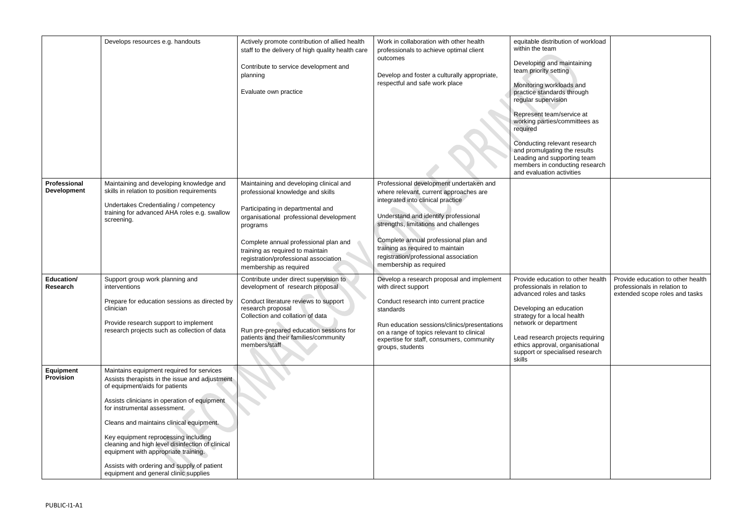|                                    | Develops resources e.g. handouts                                                                                                                                                                                                                                                                                                                                                                                                                                                      | Actively promote contribution of allied health<br>staff to the delivery of high quality health care<br>Contribute to service development and<br>planning<br>Evaluate own practice                                                                                                                                        | Work in collaboration with other health<br>professionals to achieve optimal client<br>outcomes<br>Develop and foster a culturally appropriate,<br>respectful and safe work place                                                                                                                                                                        | equitable distribution of workload<br>within the team<br>Developing and maintaining<br>team priority setting<br>Monitoring workloads and<br>practice standards through<br>regular supervision<br>Represent team/service at<br>working parties/committees as<br>required<br>Conducting relevant research<br>and promulgating the results<br>Leading and supporting team<br>members in conducting research<br>and evaluation activities |                                                                                                     |
|------------------------------------|---------------------------------------------------------------------------------------------------------------------------------------------------------------------------------------------------------------------------------------------------------------------------------------------------------------------------------------------------------------------------------------------------------------------------------------------------------------------------------------|--------------------------------------------------------------------------------------------------------------------------------------------------------------------------------------------------------------------------------------------------------------------------------------------------------------------------|---------------------------------------------------------------------------------------------------------------------------------------------------------------------------------------------------------------------------------------------------------------------------------------------------------------------------------------------------------|---------------------------------------------------------------------------------------------------------------------------------------------------------------------------------------------------------------------------------------------------------------------------------------------------------------------------------------------------------------------------------------------------------------------------------------|-----------------------------------------------------------------------------------------------------|
| Professional<br><b>Development</b> | Maintaining and developing knowledge and<br>skills in relation to position requirements<br>Undertakes Credentialing / competency<br>training for advanced AHA roles e.g. swallow<br>screening.                                                                                                                                                                                                                                                                                        | Maintaining and developing clinical and<br>professional knowledge and skills<br>Participating in departmental and<br>organisational professional development<br>programs<br>Complete annual professional plan and<br>training as required to maintain<br>registration/professional association<br>membership as required | Professional development undertaken and<br>where relevant, current approaches are<br>integrated into clinical practice<br>Understand and identify professional<br>strengths, limitations and challenges<br>Complete annual professional plan and<br>training as required to maintain<br>registration/professional association<br>membership as required |                                                                                                                                                                                                                                                                                                                                                                                                                                       |                                                                                                     |
| <b>Education/</b><br>Research      | Support group work planning and<br>interventions<br>Prepare for education sessions as directed by<br>clinician<br>Provide research support to implement<br>research projects such as collection of data                                                                                                                                                                                                                                                                               | Contribute under direct supervision to<br>development of research proposal<br>Conduct literature reviews to support<br>research proposal<br>Collection and collation of data<br>Run pre-prepared education sessions for<br>patients and their families/community<br>members/staff                                        | Develop a research proposal and implement<br>with direct support<br>Conduct research into current practice<br>standards<br>Run education sessions/clinics/presentations<br>on a range of topics relevant to clinical<br>expertise for staff, consumers, community<br>groups, students                                                                   | Provide education to other health<br>professionals in relation to<br>advanced roles and tasks<br>Developing an education<br>strategy for a local health<br>network or department<br>Lead research projects requiring<br>ethics approval, organisational<br>support or specialised research<br>skills                                                                                                                                  | Provide education to other health<br>professionals in relation to<br>extended scope roles and tasks |
| Equipment<br><b>Provision</b>      | Maintains equipment required for services<br>Assists therapists in the issue and adjustment<br>of equipment/aids for patients<br>Assists clinicians in operation of equipment<br>for instrumental assessment.<br>Cleans and maintains clinical equipment.<br>Key equipment reprocessing including<br>cleaning and high level disinfection of clinical<br>equipment with appropriate training.<br>Assists with ordering and supply of patient<br>equipment and general clinic supplies |                                                                                                                                                                                                                                                                                                                          |                                                                                                                                                                                                                                                                                                                                                         |                                                                                                                                                                                                                                                                                                                                                                                                                                       |                                                                                                     |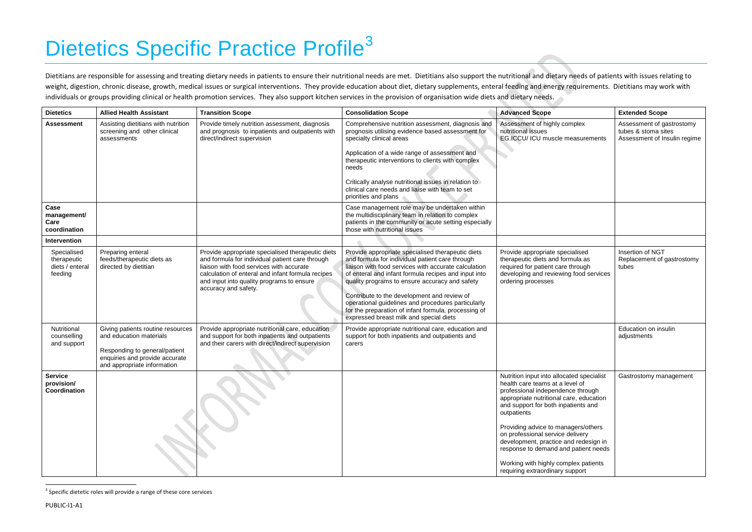# <span id="page-6-0"></span>Dietetics Specific Practice Profile<sup>[3](#page-6-0)</sup>

Dietitians are responsible for assessing and treating dietary needs in patients to ensure their nutritional needs are met. Dietitians also support the nutritional and dietary needs of patients with issues relating to weight, digestion, chronic disease, growth, medical issues or surgical interventions. They provide education about diet, dietary supplements, enteral feeding and energy requirements. Dietitians may work with individuals or groups providing clinical or health promotion services. They also support kitchen services in the provision of organisation wide diets and dietary needs.

| <b>Dietetics</b>                                         | <b>Allied Health Assistant</b>                                                                                                                                 | <b>Transition Scope</b>                                                                                                                                                                                                                                                    | <b>Consolidation Scope</b>                                                                                                                                                                                                                                                                                                                                                                                                                                                     | <b>Advanced Scope</b>                                                                                                                                                                                                                                                                                                                                                                                                                                     | <b>Extended Scope</b>                                                            |
|----------------------------------------------------------|----------------------------------------------------------------------------------------------------------------------------------------------------------------|----------------------------------------------------------------------------------------------------------------------------------------------------------------------------------------------------------------------------------------------------------------------------|--------------------------------------------------------------------------------------------------------------------------------------------------------------------------------------------------------------------------------------------------------------------------------------------------------------------------------------------------------------------------------------------------------------------------------------------------------------------------------|-----------------------------------------------------------------------------------------------------------------------------------------------------------------------------------------------------------------------------------------------------------------------------------------------------------------------------------------------------------------------------------------------------------------------------------------------------------|----------------------------------------------------------------------------------|
| <b>Assessment</b>                                        | Assisting dietitians with nutrition<br>screening and other clinical<br>assessments                                                                             | Provide timely nutrition assessment, diagnosis<br>and prognosis to inpatients and outpatients with<br>direct/indirect supervision                                                                                                                                          | Comprehensive nutrition assessment, diagnosis and<br>prognosis utilising evidence based assessment for<br>specialty clinical areas<br>Application of a wide range of assessment and<br>therapeutic interventions to clients with complex<br>needs<br>Critically analyse nutritional issues in relation to<br>clinical care needs and liaise with team to set<br>priorities and plans                                                                                           | Assessment of highly complex<br>nutritional issues<br>EG.ICCU/ ICU muscle measurements<br>o                                                                                                                                                                                                                                                                                                                                                               | Assessment of gastrostomy<br>tubes & stoma sites<br>Assessment of Insulin regime |
| Case<br>management/<br>Care<br>coordination              |                                                                                                                                                                |                                                                                                                                                                                                                                                                            | Case management role may be undertaken within<br>the multidisciplinary team in relation to complex<br>patients in the community or acute setting especially<br>those with nutritional issues                                                                                                                                                                                                                                                                                   |                                                                                                                                                                                                                                                                                                                                                                                                                                                           |                                                                                  |
| Intervention                                             |                                                                                                                                                                |                                                                                                                                                                                                                                                                            |                                                                                                                                                                                                                                                                                                                                                                                                                                                                                |                                                                                                                                                                                                                                                                                                                                                                                                                                                           |                                                                                  |
| Specialised<br>therapeutic<br>diets / enteral<br>feeding | Preparing enteral<br>feeds/therapeutic diets as<br>directed by dietitian                                                                                       | Provide appropriate specialised therapeutic diets<br>and formula for individual patient care through<br>liaison with food services with accurate<br>calculation of enteral and infant formula recipes<br>and input into quality programs to ensure<br>accuracy and safety. | Provide appropriate specialised therapeutic diets<br>and formula for individual patient care through<br>liaison with food services with accurate calculation<br>of enteral and infant formula recipes and input into<br>quality programs to ensure accuracy and safety<br>Contribute to the development and review of<br>operational guidelines and procedures particularly<br>for the preparation of infant formula, processing of<br>expressed breast milk and special diets | Provide appropriate specialised<br>therapeutic diets and formula as<br>required for patient care through<br>developing and reviewing food services<br>ordering processes                                                                                                                                                                                                                                                                                  | Insertion of NGT<br>Replacement of gastrostomy<br>tubes                          |
| Nutritional<br>counselling<br>and support                | Giving patients routine resources<br>and education materials<br>Responding to general/patient<br>enquiries and provide accurate<br>and appropriate information | Provide appropriate nutritional care, education<br>and support for both inpatients and outpatients<br>and their carers with direct/indirect supervision                                                                                                                    | Provide appropriate nutritional care, education and<br>support for both inpatients and outpatients and<br>carers                                                                                                                                                                                                                                                                                                                                                               |                                                                                                                                                                                                                                                                                                                                                                                                                                                           | Education on insulin<br>adjustments                                              |
| <b>Service</b><br>provision/<br>Coordination             |                                                                                                                                                                |                                                                                                                                                                                                                                                                            |                                                                                                                                                                                                                                                                                                                                                                                                                                                                                | Nutrition input into allocated specialist<br>health care teams at a level of<br>professional independence through<br>appropriate nutritional care, education<br>and support for both inpatients and<br>outpatients<br>Providing advice to managers/others<br>on professional service delivery<br>development, practice and redesign in<br>response to demand and patient needs<br>Working with highly complex patients<br>requiring extraordinary support | Gastrostomy management                                                           |

<sup>&</sup>lt;sup>3</sup> Specific dietetic roles will provide a range of these core services

l